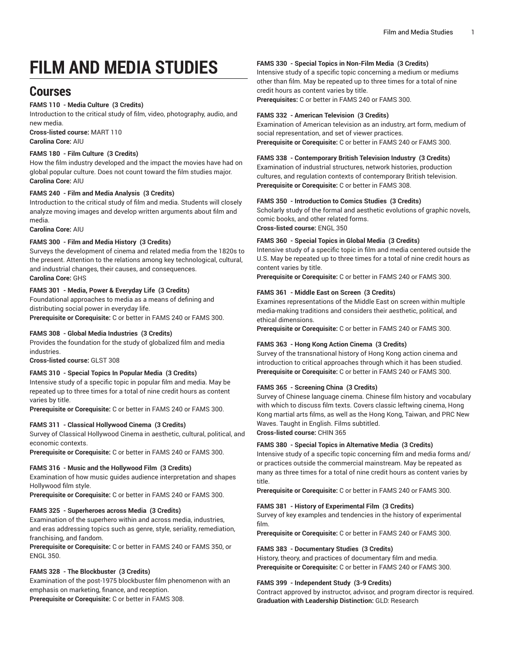# **FILM AND MEDIA STUDIES**

## **Courses**

#### **FAMS 110 - Media Culture (3 Credits)**

Introduction to the critical study of film, video, photography, audio, and new media.

**Cross-listed course:** MART 110 **Carolina Core:** AIU

#### **FAMS 180 - Film Culture (3 Credits)**

How the film industry developed and the impact the movies have had on global popular culture. Does not count toward the film studies major. **Carolina Core:** AIU

#### **FAMS 240 - Film and Media Analysis (3 Credits)**

Introduction to the critical study of film and media. Students will closely analyze moving images and develop written arguments about film and media.

**Carolina Core:** AIU

#### **FAMS 300 - Film and Media History (3 Credits)**

Surveys the development of cinema and related media from the 1820s to the present. Attention to the relations among key technological, cultural, and industrial changes, their causes, and consequences. **Carolina Core:** GHS

#### **FAMS 301 - Media, Power & Everyday Life (3 Credits)**

Foundational approaches to media as a means of defining and distributing social power in everyday life.

**Prerequisite or Corequisite:** C or better in FAMS 240 or FAMS 300.

#### **FAMS 308 - Global Media Industries (3 Credits)**

Provides the foundation for the study of globalized film and media industries.

**Cross-listed course:** GLST 308

#### **FAMS 310 - Special Topics In Popular Media (3 Credits)**

Intensive study of a specific topic in popular film and media. May be repeated up to three times for a total of nine credit hours as content varies by title.

**Prerequisite or Corequisite:** C or better in FAMS 240 or FAMS 300.

#### **FAMS 311 - Classical Hollywood Cinema (3 Credits)**

Survey of Classical Hollywood Cinema in aesthetic, cultural, political, and economic contexts.

**Prerequisite or Corequisite:** C or better in FAMS 240 or FAMS 300.

#### **FAMS 316 - Music and the Hollywood Film (3 Credits)**

Examination of how music guides audience interpretation and shapes Hollywood film style.

**Prerequisite or Corequisite:** C or better in FAMS 240 or FAMS 300.

#### **FAMS 325 - Superheroes across Media (3 Credits)**

Examination of the superhero within and across media, industries, and eras addressing topics such as genre, style, seriality, remediation, franchising, and fandom.

**Prerequisite or Corequisite:** C or better in FAMS 240 or FAMS 350, or ENGL 350.

#### **FAMS 328 - The Blockbuster (3 Credits)**

Examination of the post-1975 blockbuster film phenomenon with an emphasis on marketing, finance, and reception. **Prerequisite or Corequisite:** C or better in FAMS 308.

#### **FAMS 330 - Special Topics in Non-Film Media (3 Credits)**

Intensive study of a specific topic concerning a medium or mediums other than film. May be repeated up to three times for a total of nine credit hours as content varies by title.

**Prerequisites:** C or better in FAMS 240 or FAMS 300.

#### **FAMS 332 - American Television (3 Credits)**

Examination of American television as an industry, art form, medium of social representation, and set of viewer practices. **Prerequisite or Corequisite:** C or better in FAMS 240 or FAMS 300.

#### **FAMS 338 - Contemporary British Television Industry (3 Credits)**

Examination of industrial structures, network histories, production cultures, and regulation contexts of contemporary British television. **Prerequisite or Corequisite:** C or better in FAMS 308.

#### **FAMS 350 - Introduction to Comics Studies (3 Credits)**

Scholarly study of the formal and aesthetic evolutions of graphic novels, comic books, and other related forms. **Cross-listed course:** ENGL 350

**FAMS 360 - Special Topics in Global Media (3 Credits)**

Intensive study of a specific topic in film and media centered outside the U.S. May be repeated up to three times for a total of nine credit hours as content varies by title.

**Prerequisite or Corequisite:** C or better in FAMS 240 or FAMS 300.

#### **FAMS 361 - Middle East on Screen (3 Credits)**

Examines representations of the Middle East on screen within multiple media-making traditions and considers their aesthetic, political, and ethical dimensions.

**Prerequisite or Corequisite:** C or better in FAMS 240 or FAMS 300.

#### **FAMS 363 - Hong Kong Action Cinema (3 Credits)**

Survey of the transnational history of Hong Kong action cinema and introduction to critical approaches through which it has been studied. **Prerequisite or Corequisite:** C or better in FAMS 240 or FAMS 300.

#### **FAMS 365 - Screening China (3 Credits)**

Survey of Chinese language cinema. Chinese film history and vocabulary with which to discuss film texts. Covers classic leftwing cinema, Hong Kong martial arts films, as well as the Hong Kong, Taiwan, and PRC New Waves. Taught in English. Films subtitled.

**Cross-listed course:** CHIN 365

#### **FAMS 380 - Special Topics in Alternative Media (3 Credits)**

Intensive study of a specific topic concerning film and media forms and/ or practices outside the commercial mainstream. May be repeated as many as three times for a total of nine credit hours as content varies by title.

**Prerequisite or Corequisite:** C or better in FAMS 240 or FAMS 300.

#### **FAMS 381 - History of Experimental Film (3 Credits)**

Survey of key examples and tendencies in the history of experimental film.

**Prerequisite or Corequisite:** C or better in FAMS 240 or FAMS 300.

#### **FAMS 383 - Documentary Studies (3 Credits)**

History, theory, and practices of documentary film and media. **Prerequisite or Corequisite:** C or better in FAMS 240 or FAMS 300.

#### **FAMS 399 - Independent Study (3-9 Credits)**

Contract approved by instructor, advisor, and program director is required. **Graduation with Leadership Distinction:** GLD: Research